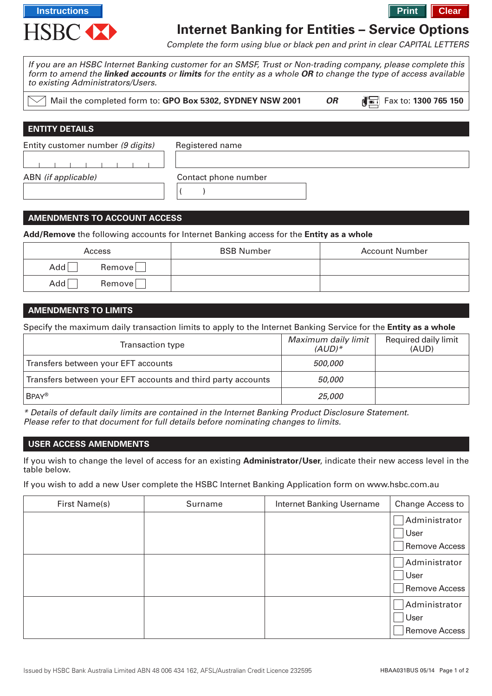

# **Internet Banking for Entities – Service Options**

Complete the form using blue or black pen and print in clear CAPITAL LETTERS

| to existing Administrators/Users. | If you are an HSBC Internet Banking customer for an SMSF, Trust or Non-trading company, please complete this<br>form to amend the <b>linked accounts</b> or <b>limits</b> for the entity as a whole OR to change the type of access available |           |                      |
|-----------------------------------|-----------------------------------------------------------------------------------------------------------------------------------------------------------------------------------------------------------------------------------------------|-----------|----------------------|
|                                   | Mail the completed form to: GPO Box 5302, SYDNEY NSW 2001                                                                                                                                                                                     | <b>OR</b> | Fax to: 1300 765 150 |
| <b>ENTITY DETAILS</b>             |                                                                                                                                                                                                                                               |           |                      |
| Entity customer number (9 digits) | Registered name                                                                                                                                                                                                                               |           |                      |
| ABN (if applicable)               | Contact phone number                                                                                                                                                                                                                          |           |                      |

## **AMENDMENTS TO ACCOUNT ACCESS**

**Add/Remove** the following accounts for Internet Banking access for the **Entity as a whole**

| Access        | <b>BSB Number</b> | <b>Account Number</b> |
|---------------|-------------------|-----------------------|
| Add<br>Remove |                   |                       |
| Add<br>Remove |                   |                       |

#### **AMENDMENTS TO LIMITS**

Specify the maximum daily transaction limits to apply to the Internet Banking Service for the **Entity as a whole**

| Transaction type                                             | Maximum daily limit<br>$(AUD)*$ | Required daily limit<br>(AUD) |
|--------------------------------------------------------------|---------------------------------|-------------------------------|
| Transfers between your EFT accounts                          | 500,000                         |                               |
| Transfers between your EFT accounts and third party accounts | <i>50.000</i>                   |                               |
| <b>BPAY®</b>                                                 | 25,000                          |                               |

\* Details of default daily limits are contained in the Internet Banking Product Disclosure Statement. Please refer to that document for full details before nominating changes to limits.

#### **USER ACCESS AMENDMENTS**

If you wish to change the level of access for an existing **Administrator/User**, indicate their new access level in the table below.

If you wish to add a new User complete the HSBC Internet Banking Application form on www.hsbc.com.au

| First Name(s) | Surname | <b>Internet Banking Username</b> | <b>Change Access to</b>                |
|---------------|---------|----------------------------------|----------------------------------------|
|               |         |                                  | Administrator<br>User<br>Remove Access |
|               |         |                                  | Administrator<br>User<br>Remove Access |
|               |         |                                  | Administrator<br>User<br>Remove Access |